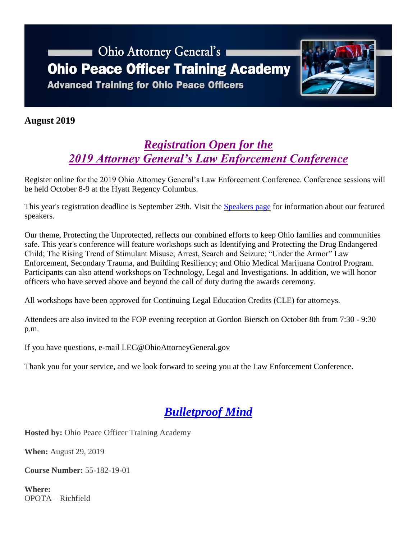# **Chio Attorney General's Ohio Peace Officer Training Academy Advanced Training for Ohio Peace Officers**



### **August 2019**

### *[Registration Open for the](https://www.ohioattorneygeneral.gov/leconference)  [2019 Attorney General's Law Enforcement Conference](https://www.ohioattorneygeneral.gov/leconference)*

[Register online](http://registrations.ohioattorneygeneral.gov/eventmanager/onlineregistration.asp?eventcode=11H) for the 2019 Ohio Attorney General's Law Enforcement Conference. Conference sessions will be held October 8-9 at the Hyatt Regency Columbus.

This year's registration deadline is September 29th. Visit the [Speakers page](https://www.ohioattorneygeneral.gov/Law-Enforcement/Ohio-Peace-Officer-Training-Academy/Ohio-Attorney-General-s-Law-Enforcement-Conference/2019-Law-Enforcement-Conference-Speakers) for information about our featured speakers.

Our theme, Protecting the Unprotected, reflects our combined efforts to keep Ohio families and communities safe. This year's conference will feature workshops such as Identifying and Protecting the Drug Endangered Child; The Rising Trend of Stimulant Misuse; Arrest, Search and Seizure; "Under the Armor" Law Enforcement, Secondary Trauma, and Building Resiliency; and Ohio Medical Marijuana Control Program. Participants can also attend workshops on Technology, Legal and Investigations. In addition, we will honor officers who have served above and beyond the call of duty during the awards ceremony.

All workshops have been approved for Continuing Legal Education Credits (CLE) for attorneys.

Attendees are also invited to the FOP evening reception at Gordon Biersch on October 8th from 7:30 - 9:30 p.m.

If you have questions, e-mail [LEC@OhioAttorneyGeneral.gov](mailto:LEC@OhioAttorneyGeneral.gov)

Thank you for your service, and we look forward to seeing you at the Law Enforcement Conference.

# *[Bulletproof Mind](https://www.ohioattorneygeneral.gov/Media/Newsletters/Ohio-Peace-Officer-Training-Academy-email-newslett/August-2019/Bulletproof-Mind)*

**Hosted by:** Ohio Peace Officer Training Academy

**When:** August 29, 2019

**Course Number:** 55-182-19-01

**Where:** OPOTA – Richfield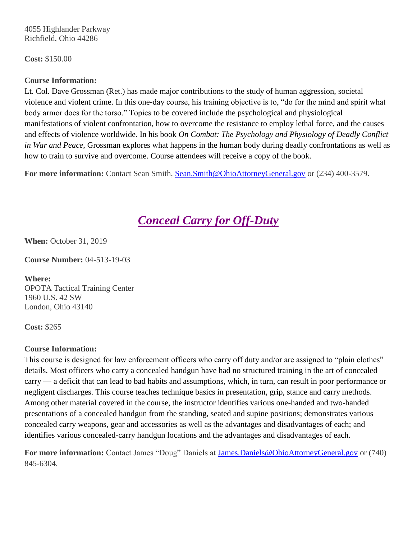4055 Highlander Parkway Richfield, Ohio 44286

**Cost:** \$150.00

### **Course Information:**

Lt. Col. Dave Grossman (Ret.) has made major contributions to the study of human aggression, societal violence and violent crime. In this one-day course, his training objective is to, "do for the mind and spirit what body armor does for the torso." Topics to be covered include the psychological and physiological manifestations of violent confrontation, how to overcome the resistance to employ lethal force, and the causes and effects of violence worldwide. In his book *On Combat: The Psychology and Physiology of Deadly Conflict in War and Peace*, Grossman explores what happens in the human body during deadly confrontations as well as how to train to survive and overcome. Course attendees will receive a copy of the book.

**For more information:** Contact Sean Smith, [Sean.Smith@OhioAttorneyGeneral.gov](mailto:Sean.Smith@OhioAttorneyGeneral.gov) or (234) 400-3579.

### *[Conceal Carry for Off-Duty](https://www.ohioattorneygeneral.gov/Media/Newsletters/Ohio-Peace-Officer-Training-Academy-email-newslett/August-2019/Conceal-Carry-for-Off-Duty)*

**When:** October 31, 2019

**Course Number:** 04-513-19-03

**Where:** OPOTA Tactical Training Center 1960 U.S. 42 SW London, Ohio 43140

**Cost:** \$265

#### **Course Information:**

This course is designed for law enforcement officers who carry off duty and/or are assigned to "plain clothes" details. Most officers who carry a concealed handgun have had no structured training in the art of concealed carry — a deficit that can lead to bad habits and assumptions, which, in turn, can result in poor performance or negligent discharges. This course teaches technique basics in presentation, grip, stance and carry methods. Among other material covered in the course, the instructor identifies various one-handed and two-handed presentations of a concealed handgun from the standing, seated and supine positions; demonstrates various concealed carry weapons, gear and accessories as well as the advantages and disadvantages of each; and identifies various concealed-carry handgun locations and the advantages and disadvantages of each.

**For more information:** Contact James "Doug" Daniels at [James.Daniels@OhioAttorneyGeneral.gov](mailto:James.Daniels@OhioAttorneyGeneral.gov) or (740) 845-6304.